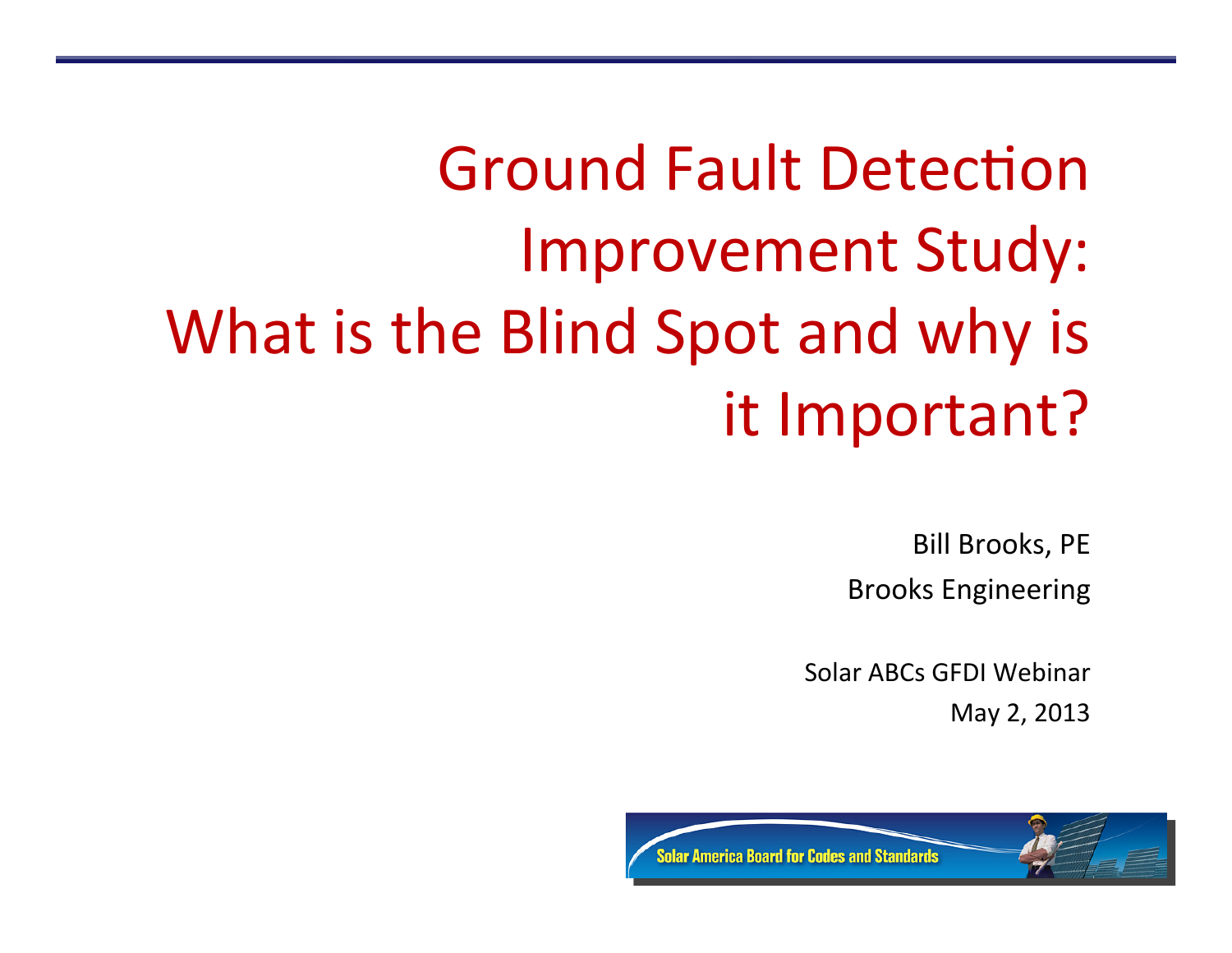# Ground Fault Detection Improvement Study: What is the Blind Spot and why is it Important?

Bill Brooks, PE Brooks Engineering 

Solar ABCs GFDI Webinar May 2, 2013

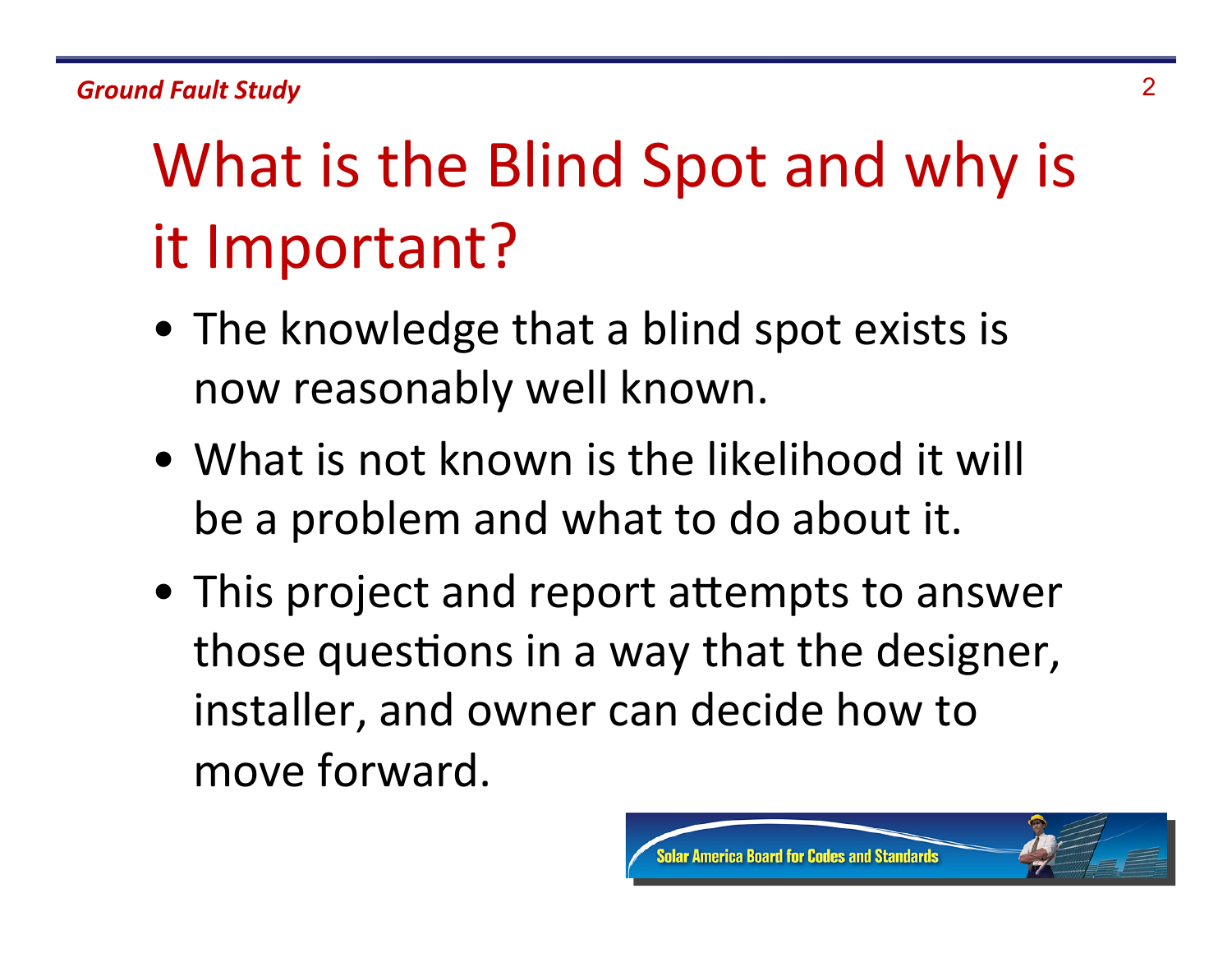#### **Ground Fault Study** 2

## What is the Blind Spot and why is it Important?

- The knowledge that a blind spot exists is now reasonably well known.
- What is not known is the likelihood it will be a problem and what to do about it.
- This project and report attempts to answer those questions in a way that the designer, installer, and owner can decide how to move forward.

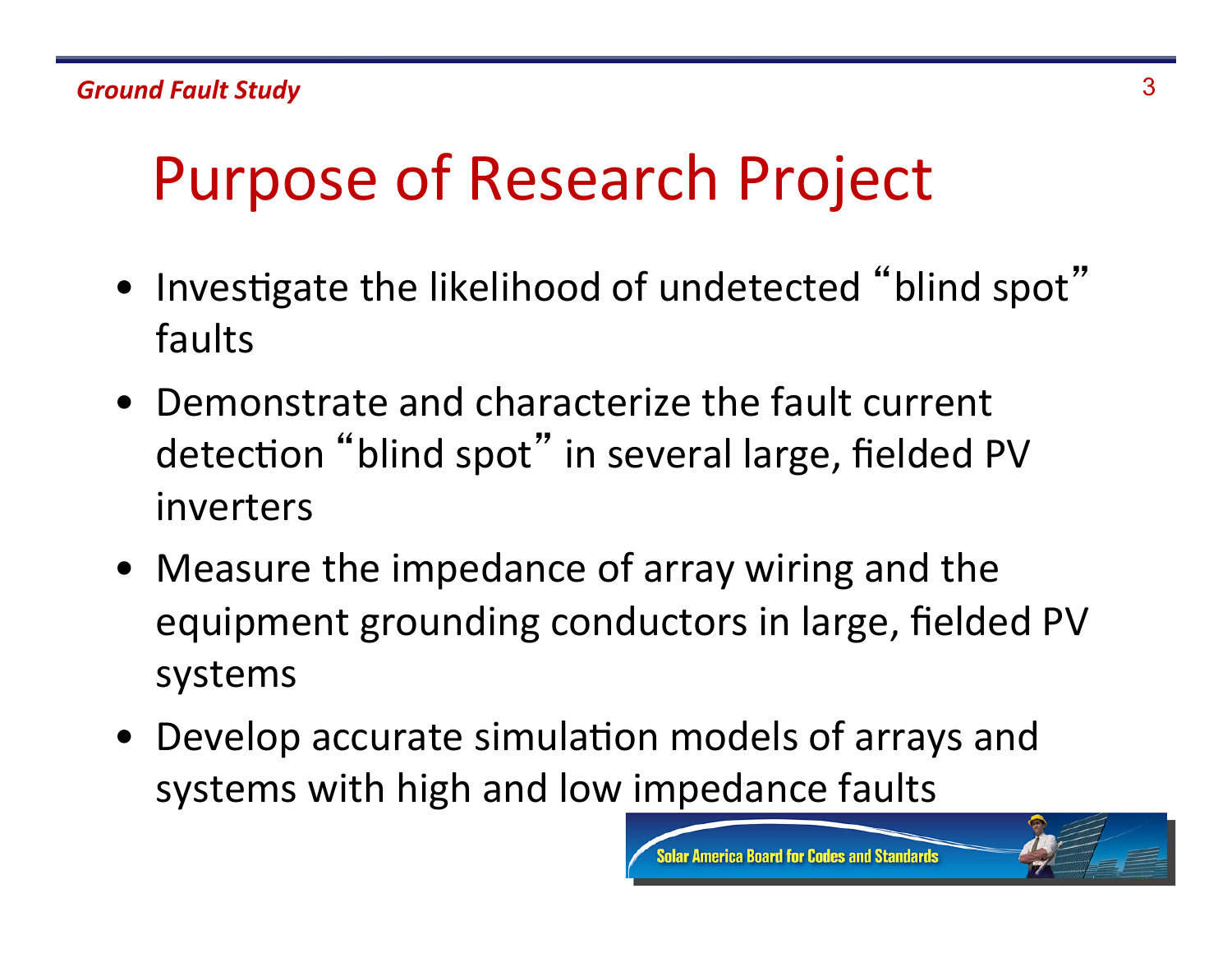## Purpose of Research Project

- Investigate the likelihood of undetected "blind spot" faults
- Demonstrate and characterize the fault current detection "blind spot" in several large, fielded PV inverters
- Measure the impedance of array wiring and the equipment grounding conductors in large, fielded PV systems
- Develop accurate simulation models of arrays and systems with high and low impedance faults

**Imerica Board for Codes and Standards** 

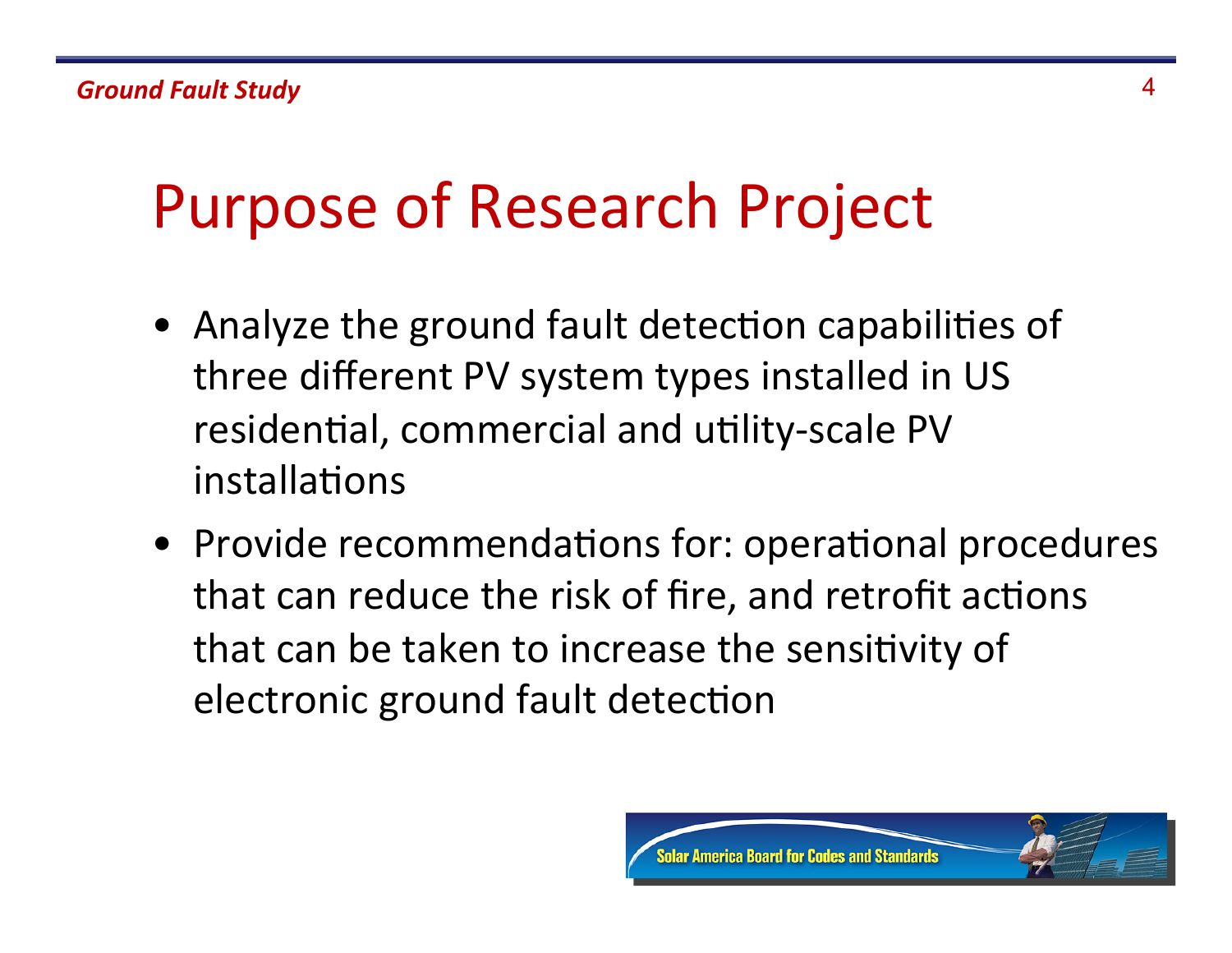## Purpose of Research Project

- Analyze the ground fault detection capabilities of three different PV system types installed in US residential, commercial and utility-scale PV installations
- Provide recommendations for: operational procedures that can reduce the risk of fire, and retrofit actions that can be taken to increase the sensitivity of electronic ground fault detection

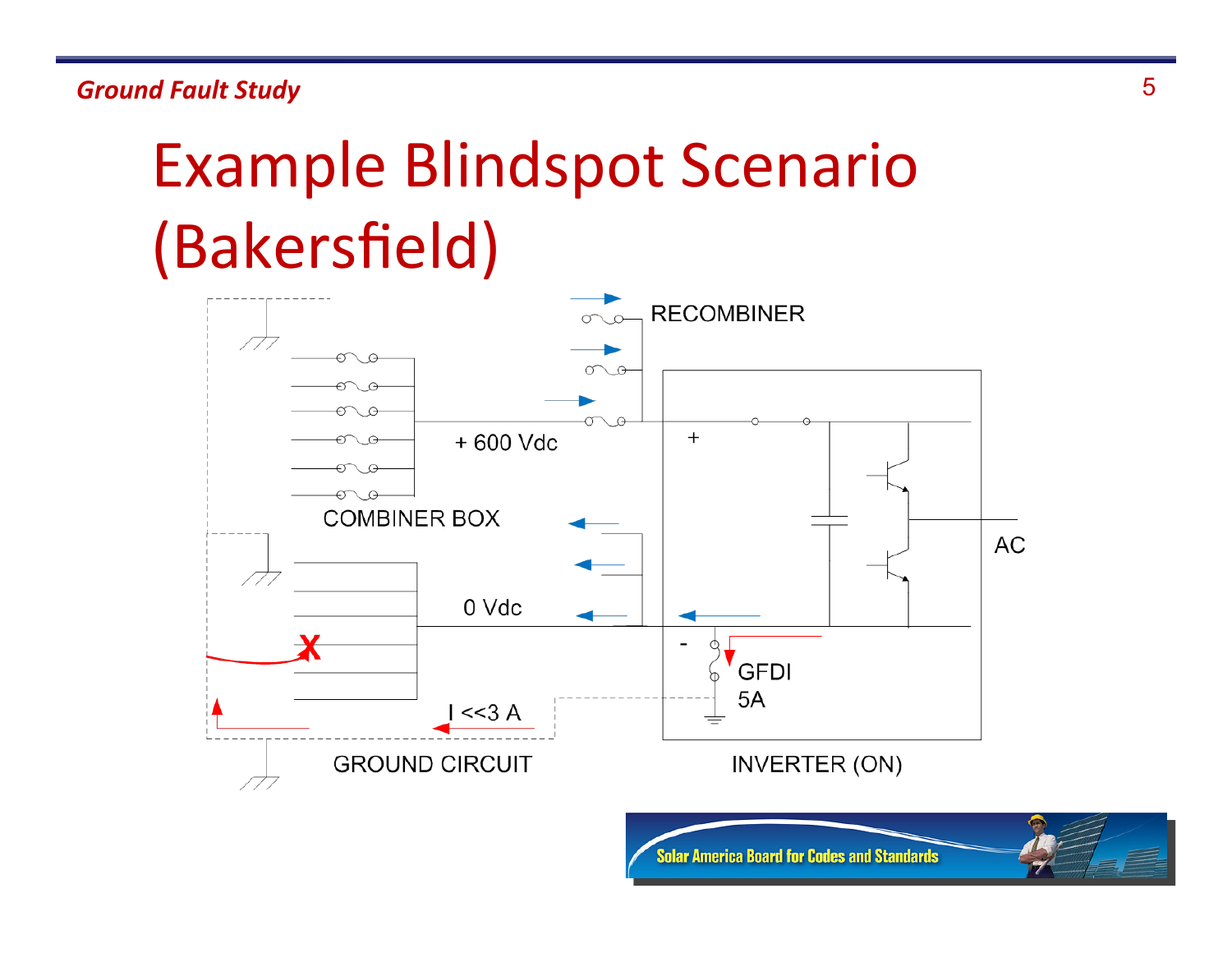**Ground Fault Study** 5

## Example Blindspot Scenario (Bakersfield)